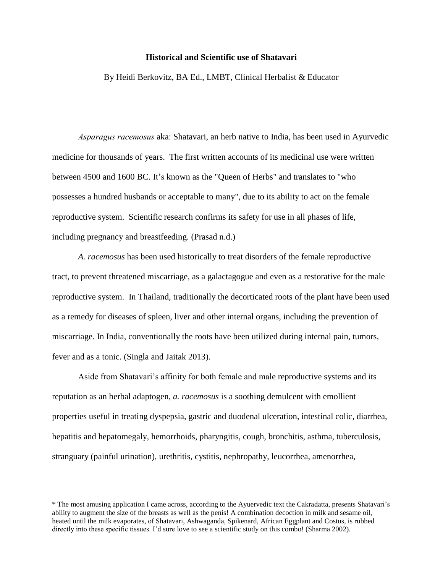## **Historical and Scientific use of Shatavari**

By Heidi Berkovitz, BA Ed., LMBT, Clinical Herbalist & Educator

*Asparagus racemosus* aka: Shatavari, an herb native to India, has been used in Ayurvedic medicine for thousands of years. The first written accounts of its medicinal use were written between 4500 and 1600 BC. It's known as the "Queen of Herbs" and translates to "who possesses a hundred husbands or acceptable to many", due to its ability to act on the female reproductive system. Scientific research confirms its safety for use in all phases of life, including pregnancy and breastfeeding. (Prasad n.d.)

*A. racemosus* has been used historically to treat disorders of the female reproductive tract, to prevent threatened miscarriage, as a galactagogue and even as a restorative for the male reproductive system. In Thailand, traditionally the decorticated roots of the plant have been used as a remedy for diseases of spleen, liver and other internal organs, including the prevention of miscarriage. In India, conventionally the roots have been utilized during internal pain, tumors, fever and as a tonic. (Singla and Jaitak 2013).

Aside from Shatavari's affinity for both female and male reproductive systems and its reputation as an herbal adaptogen, *a. racemosus* is a soothing demulcent with emollient properties useful in treating dyspepsia, gastric and duodenal ulceration, intestinal colic, diarrhea, hepatitis and hepatomegaly, hemorrhoids, pharyngitis, cough, bronchitis, asthma, tuberculosis, stranguary (painful urination), urethritis, cystitis, nephropathy, leucorrhea, amenorrhea,

<sup>\*</sup> The most amusing application I came across, according to the Ayuervedic text the Cakradatta, presents Shatavari's ability to augment the size of the breasts as well as the penis! A combination decoction in milk and sesame oil, heated until the milk evaporates, of Shatavari, Ashwaganda, Spikenard, African Eggplant and Costus, is rubbed directly into these specific tissues. I'd sure love to see a scientific study on this combo! (Sharma 2002).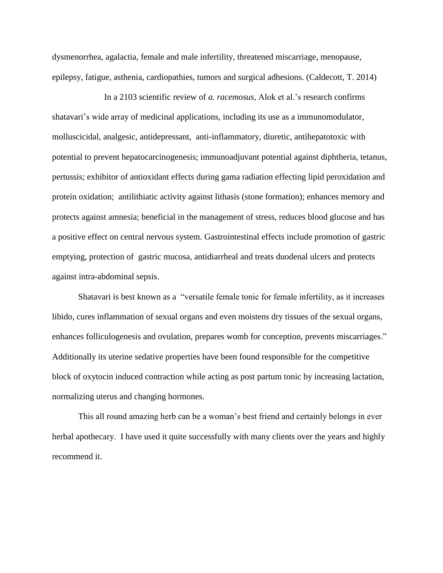dysmenorrhea, agalactia, female and male infertility, threatened miscarriage, menopause, epilepsy, fatigue, asthenia, cardiopathies, tumors and surgical adhesions. (Caldecott, T. 2014)

In a 2103 scientific review of *a. racemosus*, Alok et al.'s research confirms shatavari's wide array of medicinal applications, including its use as a immunomodulator, molluscicidal, analgesic, antidepressant, anti-inflammatory, diuretic, antihepatotoxic with potential to prevent hepatocarcinogenesis; immunoadjuvant potential against diphtheria, tetanus, pertussis; exhibitor of antioxidant effects during gama radiation effecting lipid peroxidation and protein oxidation; antilithiatic activity against lithasis (stone formation); enhances memory and protects against amnesia; beneficial in the management of stress, reduces blood glucose and has a positive effect on central nervous system. Gastrointestinal effects include promotion of gastric emptying, protection of gastric mucosa, antidiarrheal and treats duodenal ulcers and protects against intra-abdominal sepsis.

Shatavari is best known as a "versatile female tonic for female infertility, as it increases libido, cures inflammation of sexual organs and even moistens dry tissues of the sexual organs, enhances folliculogenesis and ovulation, prepares womb for conception, prevents miscarriages." Additionally its uterine sedative properties have been found responsible for the competitive block of oxytocin induced contraction while acting as post partum tonic by increasing lactation, normalizing uterus and changing hormones.

This all round amazing herb can be a woman's best friend and certainly belongs in ever herbal apothecary. I have used it quite successfully with many clients over the years and highly recommend it.